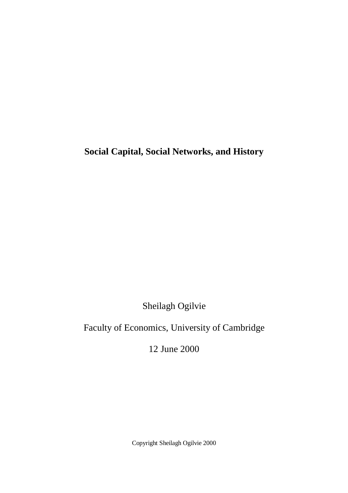**Social Capital, Social Networks, and History** 

Sheilagh Ogilvie

Faculty of Economics, University of Cambridge

12 June 2000

Copyright Sheilagh Ogilvie 2000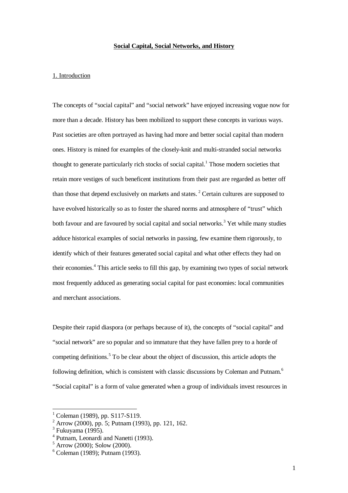# **Social Capital, Social Networks, and History**

# 1. Introduction

The concepts of "social capital" and "social network" have enjoyed increasing vogue now for more than a decade. History has been mobilized to support these concepts in various ways. Past societies are often portrayed as having had more and better social capital than modern ones. History is mined for examples of the closely-knit and multi-stranded social networks thought to generate particularly rich stocks of social capital.<sup>1</sup> Those modern societies that retain more vestiges of such beneficent institutions from their past are regarded as better off than those that depend exclusively on markets and states.<sup>2</sup> Certain cultures are supposed to have evolved historically so as to foster the shared norms and atmosphere of "trust" which both favour and are favoured by social capital and social networks.<sup>3</sup> Yet while many studies adduce historical examples of social networks in passing, few examine them rigorously, to identify which of their features generated social capital and what other effects they had on their economies.<sup>4</sup> This article seeks to fill this gap, by examining two types of social network most frequently adduced as generating social capital for past economies: local communities and merchant associations.

Despite their rapid diaspora (or perhaps because of it), the concepts of "social capital" and "social network" are so popular and so immature that they have fallen prey to a horde of competing definitions.<sup>5</sup> To be clear about the object of discussion, this article adopts the following definition, which is consistent with classic discussions by Coleman and Putnam.<sup>6</sup> "Social capital" is a form of value generated when a group of individuals invest resources in

<sup>&</sup>lt;sup>1</sup> Coleman (1989), pp. S117-S119.

<sup>2</sup> Arrow (2000), pp. 5; Putnam (1993), pp. 121, 162.

 $3$  Fukuyama (1995).

<sup>4</sup> Putnam, Leonardi and Nanetti (1993).

<sup>5</sup> Arrow (2000); Solow (2000).

<sup>6</sup> Coleman (1989); Putnam (1993).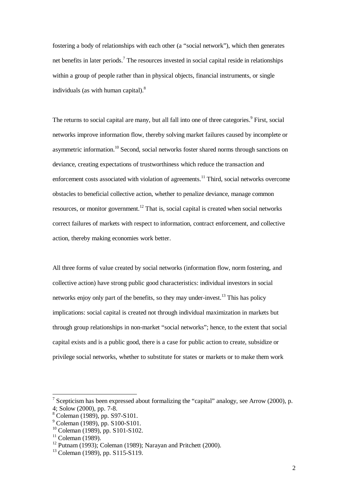fostering a body of relationships with each other (a "social network"), which then generates net benefits in later periods.<sup>7</sup> The resources invested in social capital reside in relationships within a group of people rather than in physical objects, financial instruments, or single individuals (as with human capital). $8$ 

The returns to social capital are many, but all fall into one of three categories.<sup>9</sup> First, social networks improve information flow, thereby solving market failures caused by incomplete or asymmetric information.<sup>10</sup> Second, social networks foster shared norms through sanctions on deviance, creating expectations of trustworthiness which reduce the transaction and enforcement costs associated with violation of agreements.<sup>11</sup> Third, social networks overcome obstacles to beneficial collective action, whether to penalize deviance, manage common resources, or monitor government.<sup>12</sup> That is, social capital is created when social networks correct failures of markets with respect to information, contract enforcement, and collective action, thereby making economies work better.

All three forms of value created by social networks (information flow, norm fostering, and collective action) have strong public good characteristics: individual investors in social networks enjoy only part of the benefits, so they may under-invest.<sup>13</sup> This has policy implications: social capital is created not through individual maximization in markets but through group relationships in non-market "social networks"; hence, to the extent that social capital exists and is a public good, there is a case for public action to create, subsidize or privilege social networks, whether to substitute for states or markets or to make them work

<sup>&</sup>lt;sup>7</sup> Scepticism has been expressed about formalizing the "capital" analogy, see Arrow (2000), p. 4; Solow (2000), pp. 7-8.

<sup>8</sup> Coleman (1989), pp. S97-S101.

<sup>9</sup> Coleman (1989), pp. S100-S101.

<sup>10</sup> Coleman (1989), pp. S101-S102.

 $11$  Coleman (1989).

<sup>&</sup>lt;sup>12</sup> Putnam (1993); Coleman (1989); Narayan and Pritchett (2000).

<sup>&</sup>lt;sup>13</sup> Coleman (1989), pp. S115-S119.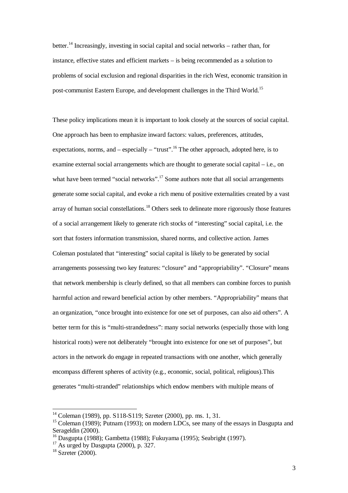better.<sup>14</sup> Increasingly, investing in social capital and social networks – rather than, for instance, effective states and efficient markets – is being recommended as a solution to problems of social exclusion and regional disparities in the rich West, economic transition in post-communist Eastern Europe, and development challenges in the Third World.<sup>15</sup>

These policy implications mean it is important to look closely at the sources of social capital. One approach has been to emphasize inward factors: values, preferences, attitudes, expectations, norms, and – especially – "trust".<sup>16</sup> The other approach, adopted here, is to examine external social arrangements which are thought to generate social capital – i.e., on what have been termed "social networks".<sup>17</sup> Some authors note that all social arrangements generate some social capital, and evoke a rich menu of positive externalities created by a vast array of human social constellations.<sup>18</sup> Others seek to delineate more rigorously those features of a social arrangement likely to generate rich stocks of "interesting" social capital, i.e. the sort that fosters information transmission, shared norms, and collective action. James Coleman postulated that "interesting" social capital is likely to be generated by social arrangements possessing two key features: "closure" and "appropriability". "Closure" means that network membership is clearly defined, so that all members can combine forces to punish harmful action and reward beneficial action by other members. "Appropriability" means that an organization, "once brought into existence for one set of purposes, can also aid others". A better term for this is "multi-strandedness": many social networks (especially those with long historical roots) were not deliberately "brought into existence for one set of purposes", but actors in the network do engage in repeated transactions with one another, which generally encompass different spheres of activity (e.g., economic, social, political, religious).This generates "multi-stranded" relationships which endow members with multiple means of

<sup>&</sup>lt;sup>14</sup> Coleman (1989), pp. S118-S119; Szreter (2000), pp. ms. 1, 31.

<sup>&</sup>lt;sup>15</sup> Coleman (1989); Putnam (1993); on modern LDCs, see many of the essays in Dasgupta and Serageldin (2000).

<sup>16</sup> Dasgupta (1988); Gambetta (1988); Fukuyama (1995); Seabright (1997).

 $17$  As urged by Dasgupta (2000), p. 327.

 $18$  Szreter (2000).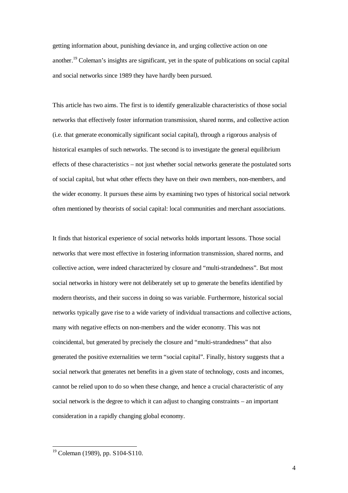getting information about, punishing deviance in, and urging collective action on one another.<sup>19</sup> Coleman's insights are significant, yet in the spate of publications on social capital and social networks since 1989 they have hardly been pursued.

This article has two aims. The first is to identify generalizable characteristics of those social networks that effectively foster information transmission, shared norms, and collective action (i.e. that generate economically significant social capital), through a rigorous analysis of historical examples of such networks. The second is to investigate the general equilibrium effects of these characteristics – not just whether social networks generate the postulated sorts of social capital, but what other effects they have on their own members, non-members, and the wider economy. It pursues these aims by examining two types of historical social network often mentioned by theorists of social capital: local communities and merchant associations.

It finds that historical experience of social networks holds important lessons. Those social networks that were most effective in fostering information transmission, shared norms, and collective action, were indeed characterized by closure and "multi-strandedness". But most social networks in history were not deliberately set up to generate the benefits identified by modern theorists, and their success in doing so was variable. Furthermore, historical social networks typically gave rise to a wide variety of individual transactions and collective actions, many with negative effects on non-members and the wider economy. This was not coincidental, but generated by precisely the closure and "multi-strandedness" that also generated the positive externalities we term "social capital". Finally, history suggests that a social network that generates net benefits in a given state of technology, costs and incomes, cannot be relied upon to do so when these change, and hence a crucial characteristic of any social network is the degree to which it can adjust to changing constraints – an important consideration in a rapidly changing global economy.

<sup>&</sup>lt;sup>19</sup> Coleman (1989), pp. S104-S110.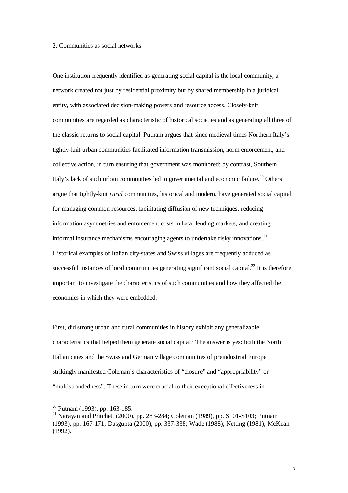# 2. Communities as social networks

One institution frequently identified as generating social capital is the local community, a network created not just by residential proximity but by shared membership in a juridical entity, with associated decision-making powers and resource access. Closely-knit communities are regarded as characteristic of historical societies and as generating all three of the classic returns to social capital. Putnam argues that since medieval times Northern Italy's tightly-knit urban communities facilitated information transmission, norm enforcement, and collective action, in turn ensuring that government was monitored; by contrast, Southern Italy's lack of such urban communities led to governmental and economic failure.<sup>20</sup> Others argue that tightly-knit *rural* communities, historical and modern, have generated social capital for managing common resources, facilitating diffusion of new techniques, reducing information asymmetries and enforcement costs in local lending markets, and creating informal insurance mechanisms encouraging agents to undertake risky innovations.<sup>21</sup> Historical examples of Italian city-states and Swiss villages are frequently adduced as successful instances of local communities generating significant social capital.<sup>22</sup> It is therefore important to investigate the characteristics of such communities and how they affected the economies in which they were embedded.

First, did strong urban and rural communities in history exhibit any generalizable characteristics that helped them generate social capital? The answer is yes: both the North Italian cities and the Swiss and German village communities of preindustrial Europe strikingly manifested Coleman's characteristics of "closure" and "appropriability" or "multistrandedness". These in turn were crucial to their exceptional effectiveness in

 $20$  Putnam (1993), pp. 163-185.

<sup>&</sup>lt;sup>21</sup> Narayan and Pritchett (2000), pp. 283-284; Coleman (1989), pp. S101-S103; Putnam (1993), pp. 167-171; Dasgupta (2000), pp. 337-338; Wade (1988); Netting (1981); McKean (1992).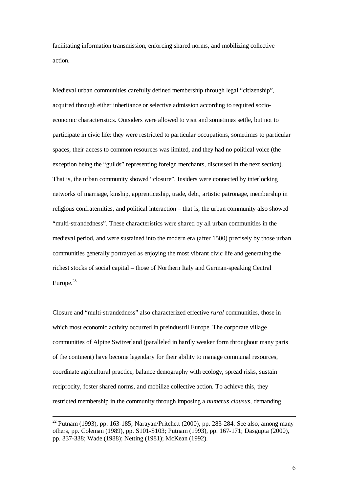facilitating information transmission, enforcing shared norms, and mobilizing collective action.

Medieval urban communities carefully defined membership through legal "citizenship", acquired through either inheritance or selective admission according to required socioeconomic characteristics. Outsiders were allowed to visit and sometimes settle, but not to participate in civic life: they were restricted to particular occupations, sometimes to particular spaces, their access to common resources was limited, and they had no political voice (the exception being the "guilds" representing foreign merchants, discussed in the next section). That is, the urban community showed "closure". Insiders were connected by interlocking networks of marriage, kinship, apprenticeship, trade, debt, artistic patronage, membership in religious confraternities, and political interaction – that is, the urban community also showed "multi-strandedness". These characteristics were shared by all urban communities in the medieval period, and were sustained into the modern era (after 1500) precisely by those urban communities generally portrayed as enjoying the most vibrant civic life and generating the richest stocks of social capital – those of Northern Italy and German-speaking Central Europe. $23$ 

Closure and "multi-strandedness" also characterized effective *rural* communities, those in which most economic activity occurred in preindustril Europe. The corporate village communities of Alpine Switzerland (paralleled in hardly weaker form throughout many parts of the continent) have become legendary for their ability to manage communal resources, coordinate agricultural practice, balance demography with ecology, spread risks, sustain reciprocity, foster shared norms, and mobilize collective action. To achieve this, they restricted membership in the community through imposing a *numerus clausus*, demanding

 $22$  Putnam (1993), pp. 163-185; Narayan/Pritchett (2000), pp. 283-284. See also, among many others, pp. Coleman (1989), pp. S101-S103; Putnam (1993), pp. 167-171; Dasgupta (2000), pp. 337-338; Wade (1988); Netting (1981); McKean (1992).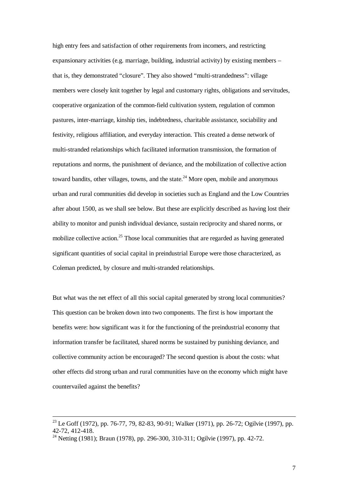high entry fees and satisfaction of other requirements from incomers, and restricting expansionary activities (e.g. marriage, building, industrial activity) by existing members – that is, they demonstrated "closure". They also showed "multi-strandedness": village members were closely knit together by legal and customary rights, obligations and servitudes, cooperative organization of the common-field cultivation system, regulation of common pastures, inter-marriage, kinship ties, indebtedness, charitable assistance, sociability and festivity, religious affiliation, and everyday interaction. This created a dense network of multi-stranded relationships which facilitated information transmission, the formation of reputations and norms, the punishment of deviance, and the mobilization of collective action toward bandits, other villages, towns, and the state.<sup>24</sup> More open, mobile and anonymous urban and rural communities did develop in societies such as England and the Low Countries after about 1500, as we shall see below. But these are explicitly described as having lost their ability to monitor and punish individual deviance, sustain reciprocity and shared norms, or mobilize collective action.<sup>25</sup> Those local communities that are regarded as having generated significant quantities of social capital in preindustrial Europe were those characterized, as Coleman predicted, by closure and multi-stranded relationships.

But what was the net effect of all this social capital generated by strong local communities? This question can be broken down into two components. The first is how important the benefits were: how significant was it for the functioning of the preindustrial economy that information transfer be facilitated, shared norms be sustained by punishing deviance, and collective community action be encouraged? The second question is about the costs: what other effects did strong urban and rural communities have on the economy which might have countervailed against the benefits?

<sup>&</sup>lt;sup>23</sup> Le Goff (1972), pp. 76-77, 79, 82-83, 90-91; Walker (1971), pp. 26-72; Ogilvie (1997), pp. 42-72, 412-418.

<sup>&</sup>lt;sup>24</sup> Netting (1981); Braun (1978), pp. 296-300, 310-311; Ogilvie (1997), pp. 42-72.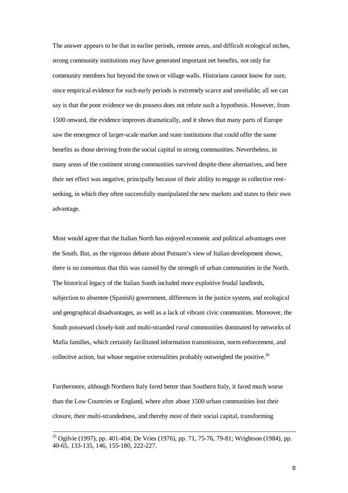The answer appears to be that in earlier periods, remote areas, and difficult ecological niches, strong community institutions may have generated important net benefits, not only for community members but beyond the town or village walls. Historians cannot know for sure, since empirical evidence for such early periods is extremely scarce and unreliable; all we can say is that the poor evidence we do possess does not refute such a hypothesis. However, from 1500 onward, the evidence improves dramatically, and it shows that many parts of Europe saw the emergence of larger-scale market and state institutions that could offer the same benefits as those deriving from the social capital in strong communities. Nevertheless, in many areas of the continent strong communities survived despite these alternatives, and here their net effect was negative, principally because of their ability to engage in collective rentseeking, in which they often successfully manipulated the new markets and states to their own advantage.

Most would agree that the Italian North has enjoyed economic and political advantages over the South. But, as the vigorous debate about Putnam's view of Italian development shows, there is no consensus that this was caused by the strength of urban communities in the North. The historical legacy of the Italian South included more exploitive feudal landlords, subjection to absentee (Spanish) government, differences in the justice system, and ecological and geographical disadvantages, as well as a lack of vibrant civic communities. Moreover, the South possessed closely-knit and multi-stranded *rural* communities dominated by networks of Mafia families, which certainly facilitated information transmission, norm enforcement, and collective action, but whose negative externalities probably outweighed the positive.<sup>26</sup>

Furthermore, although Northern Italy fared better than Southern Italy, it fared much worse than the Low Countries or England, where after about 1500 urban communities lost their closure, their multi-strandedness, and thereby most of their social capital, transforming

<sup>&</sup>lt;sup>25</sup> Ogilvie (1997), pp. 401-404; De Vries (1976), pp. 71, 75-76, 79-81; Wrightson (1984), pp. 40-65, 133-135, 146, 155-180, 222-227.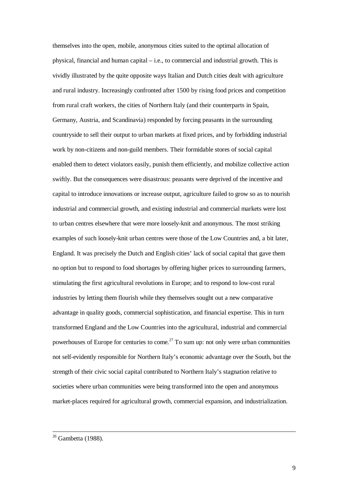themselves into the open, mobile, anonymous cities suited to the optimal allocation of physical, financial and human capital – i.e., to commercial and industrial growth. This is vividly illustrated by the quite opposite ways Italian and Dutch cities dealt with agriculture and rural industry. Increasingly confronted after 1500 by rising food prices and competition from rural craft workers, the cities of Northern Italy (and their counterparts in Spain, Germany, Austria, and Scandinavia) responded by forcing peasants in the surrounding countryside to sell their output to urban markets at fixed prices, and by forbidding industrial work by non-citizens and non-guild members. Their formidable stores of social capital enabled them to detect violators easily, punish them efficiently, and mobilize collective action swiftly. But the consequences were disastrous: peasants were deprived of the incentive and capital to introduce innovations or increase output, agriculture failed to grow so as to nourish industrial and commercial growth, and existing industrial and commercial markets were lost to urban centres elsewhere that were more loosely-knit and anonymous. The most striking examples of such loosely-knit urban centres were those of the Low Countries and, a bit later, England. It was precisely the Dutch and English cities' lack of social capital that gave them no option but to respond to food shortages by offering higher prices to surrounding farmers, stimulating the first agricultural revolutions in Europe; and to respond to low-cost rural industries by letting them flourish while they themselves sought out a new comparative advantage in quality goods, commercial sophistication, and financial expertise. This in turn transformed England and the Low Countries into the agricultural, industrial and commercial powerhouses of Europe for centuries to come.<sup>27</sup> To sum up: not only were urban communities not self-evidently responsible for Northern Italy's economic advantage over the South, but the strength of their civic social capital contributed to Northern Italy's stagnation relative to societies where urban communities were being transformed into the open and anonymous market-places required for agricultural growth, commercial expansion, and industrialization.

 $26$  Gambetta (1988).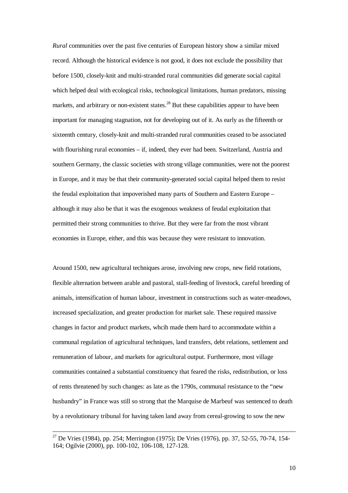*Rural* communities over the past five centuries of European history show a similar mixed record. Although the historical evidence is not good, it does not exclude the possibility that before 1500, closely-knit and multi-stranded rural communities did generate social capital which helped deal with ecological risks, technological limitations, human predators, missing markets, and arbitrary or non-existent states.<sup>28</sup> But these capabilities appear to have been important for managing stagnation, not for developing out of it. As early as the fifteenth or sixteenth century, closely-knit and multi-stranded rural communities ceased to be associated with flourishing rural economies – if, indeed, they ever had been. Switzerland, Austria and southern Germany, the classic societies with strong village communities, were not the poorest in Europe, and it may be that their community-generated social capital helped them to resist the feudal exploitation that impoverished many parts of Southern and Eastern Europe – although it may also be that it was the exogenous weakness of feudal exploitation that permitted their strong communities to thrive. But they were far from the most vibrant economies in Europe, either, and this was because they were resistant to innovation.

Around 1500, new agricultural techniques arose, involving new crops, new field rotations, flexible alternation between arable and pastoral, stall-feeding of livestock, careful breeding of animals, intensification of human labour, investment in constructions such as water-meadows, increased specialization, and greater production for market sale. These required massive changes in factor and product markets, whcih made them hard to accommodate within a communal regulation of agricultural techniques, land transfers, debt relations, settlement and remuneration of labour, and markets for agricultural output. Furthermore, most village communities contained a substantial constituency that feared the risks, redistribution, or loss of rents threatened by such changes: as late as the 1790s, communal resistance to the "new husbandry" in France was still so strong that the Marquise de Marbeuf was sentenced to death by a revolutionary tribunal for having taken land away from cereal-growing to sow the new

<sup>&</sup>lt;sup>27</sup> De Vries (1984), pp. 254; Merrington (1975); De Vries (1976), pp. 37, 52-55, 70-74, 154-164; Ogilvie (2000), pp. 100-102, 106-108, 127-128.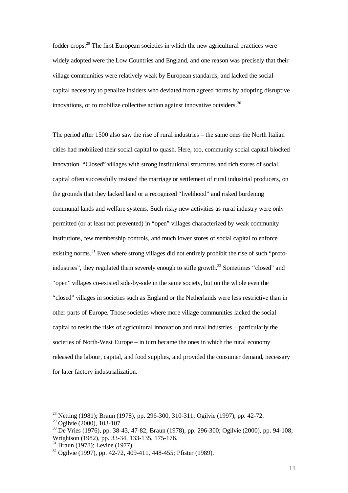fodder crops.<sup>29</sup> The first European societies in which the new agricultural practices were widely adopted were the Low Countries and England, and one reason was precisely that their village communities were relatively weak by European standards, and lacked the social capital necessary to penalize insiders who deviated from agreed norms by adopting disruptive innovations, or to mobilize collective action against innovative outsiders.<sup>30</sup>

The period after 1500 also saw the rise of rural industries – the same ones the North Italian cities had mobilized their social capital to quash. Here, too, community social capital blocked innovation. "Closed" villages with strong institutional structures and rich stores of social capital often successfully resisted the marriage or settlement of rural industrial producers, on the grounds that they lacked land or a recognized "livelihood" and risked burdening communal lands and welfare systems. Such risky new activities as rural industry were only permitted (or at least not prevented) in "open" villages characterized by weak community institutions, few membership controls, and much lower stores of social capital to enforce existing norms.<sup>31</sup> Even where strong villages did not entirely prohibit the rise of such "protoindustries", they regulated them severely enough to stifle growth.<sup>32</sup> Sometimes "closed" and "open" villages co-existed side-by-side in the same society, but on the whole even the "closed" villages in societies such as England or the Netherlands were less restrictive than in other parts of Europe. Those societies where more village communities lacked the social capital to resist the risks of agricultural innovation and rural industries – particularly the societies of North-West Europe – in turn became the ones in which the rural economy released the labour, capital, and food supplies, and provided the consumer demand, necessary for later factory industrialization.

<sup>&</sup>lt;sup>28</sup> Netting (1981); Braun (1978), pp. 296-300, 310-311; Ogilvie (1997), pp. 42-72.

<sup>&</sup>lt;sup>29</sup> Ogilvie (2000), 103-107.

<sup>30</sup> De Vries (1976), pp. 38-43, 47-82; Braun (1978), pp. 296-300; Ogilvie (2000), pp. 94-108; Wrightson (1982), pp. 33-34, 133-135, 175-176.

<sup>31</sup> Braun (1978); Levine (1977).

 $32$  Ogilvie (1997), pp. 42-72, 409-411, 448-455; Pfister (1989).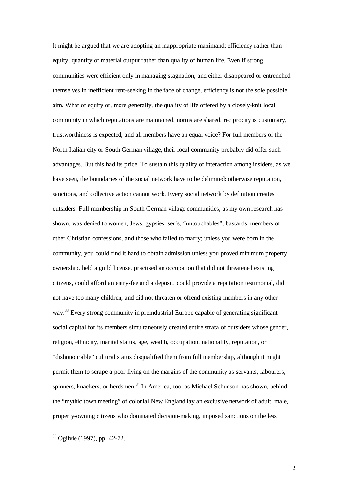It might be argued that we are adopting an inappropriate maximand: efficiency rather than equity, quantity of material output rather than quality of human life. Even if strong communities were efficient only in managing stagnation, and either disappeared or entrenched themselves in inefficient rent-seeking in the face of change, efficiency is not the sole possible aim. What of equity or, more generally, the quality of life offered by a closely-knit local community in which reputations are maintained, norms are shared, reciprocity is customary, trustworthiness is expected, and all members have an equal voice? For full members of the North Italian city or South German village, their local community probably did offer such advantages. But this had its price. To sustain this quality of interaction among insiders, as we have seen, the boundaries of the social network have to be delimited: otherwise reputation, sanctions, and collective action cannot work. Every social network by definition creates outsiders. Full membership in South German village communities, as my own research has shown, was denied to women, Jews, gypsies, serfs, "untouchables", bastards, members of other Christian confessions, and those who failed to marry; unless you were born in the community, you could find it hard to obtain admission unless you proved minimum property ownership, held a guild license, practised an occupation that did not threatened existing citizens, could afford an entry-fee and a deposit, could provide a reputation testimonial, did not have too many children, and did not threaten or offend existing members in any other way.<sup>33</sup> Every strong community in preindustrial Europe capable of generating significant social capital for its members simultaneously created entire strata of outsiders whose gender, religion, ethnicity, marital status, age, wealth, occupation, nationality, reputation, or "dishonourable" cultural status disqualified them from full membership, although it might permit them to scrape a poor living on the margins of the community as servants, labourers, spinners, knackers, or herdsmen.<sup>34</sup> In America, too, as Michael Schudson has shown, behind the "mythic town meeting" of colonial New England lay an exclusive network of adult, male, property-owning citizens who dominated decision-making, imposed sanctions on the less

 $\overline{a}$ 

12

<sup>&</sup>lt;sup>33</sup> Ogilvie (1997), pp. 42-72.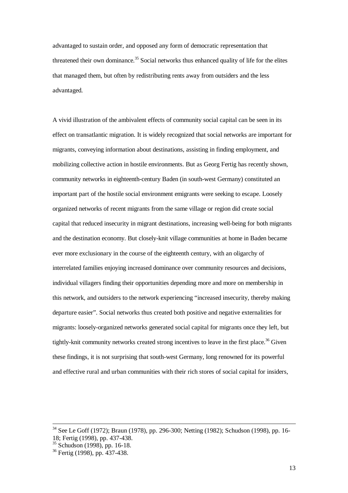advantaged to sustain order, and opposed any form of democratic representation that threatened their own dominance.<sup>35</sup> Social networks thus enhanced quality of life for the elites that managed them, but often by redistributing rents away from outsiders and the less advantaged.

A vivid illustration of the ambivalent effects of community social capital can be seen in its effect on transatlantic migration. It is widely recognized that social networks are important for migrants, conveying information about destinations, assisting in finding employment, and mobilizing collective action in hostile environments. But as Georg Fertig has recently shown, community networks in eighteenth-century Baden (in south-west Germany) constituted an important part of the hostile social environment emigrants were seeking to escape. Loosely organized networks of recent migrants from the same village or region did create social capital that reduced insecurity in migrant destinations, increasing well-being for both migrants and the destination economy. But closely-knit village communities at home in Baden became ever more exclusionary in the course of the eighteenth century, with an oligarchy of interrelated families enjoying increased dominance over community resources and decisions, individual villagers finding their opportunities depending more and more on membership in this network, and outsiders to the network experiencing "increased insecurity, thereby making departure easier". Social networks thus created both positive and negative externalities for migrants: loosely-organized networks generated social capital for migrants once they left, but tightly-knit community networks created strong incentives to leave in the first place.<sup>36</sup> Given these findings, it is not surprising that south-west Germany, long renowned for its powerful and effective rural and urban communities with their rich stores of social capital for insiders,

<sup>34</sup> See Le Goff (1972); Braun (1978), pp. 296-300; Netting (1982); Schudson (1998), pp. 16- 18; Fertig (1998), pp. 437-438.

 $35$  Schudson (1998), pp. 16-18.

<sup>36</sup> Fertig (1998), pp. 437-438.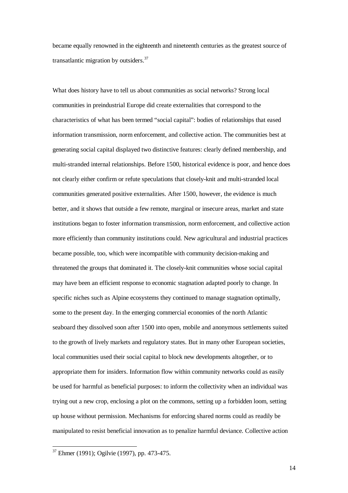became equally renowned in the eighteenth and nineteenth centuries as the greatest source of transatlantic migration by outsiders.<sup>37</sup>

What does history have to tell us about communities as social networks? Strong local communities in preindustrial Europe did create externalities that correspond to the characteristics of what has been termed "social capital": bodies of relationships that eased information transmission, norm enforcement, and collective action. The communities best at generating social capital displayed two distinctive features: clearly defined membership, and multi-stranded internal relationships. Before 1500, historical evidence is poor, and hence does not clearly either confirm or refute speculations that closely-knit and multi-stranded local communities generated positive externalities. After 1500, however, the evidence is much better, and it shows that outside a few remote, marginal or insecure areas, market and state institutions began to foster information transmission, norm enforcement, and collective action more efficiently than community institutions could. New agricultural and industrial practices became possible, too, which were incompatible with community decision-making and threatened the groups that dominated it. The closely-knit communities whose social capital may have been an efficient response to economic stagnation adapted poorly to change. In specific niches such as Alpine ecosystems they continued to manage stagnation optimally, some to the present day. In the emerging commercial economies of the north Atlantic seaboard they dissolved soon after 1500 into open, mobile and anonymous settlements suited to the growth of lively markets and regulatory states. But in many other European societies, local communities used their social capital to block new developments altogether, or to appropriate them for insiders. Information flow within community networks could as easily be used for harmful as beneficial purposes: to inform the collectivity when an individual was trying out a new crop, enclosing a plot on the commons, setting up a forbidden loom, setting up house without permission. Mechanisms for enforcing shared norms could as readily be manipulated to resist beneficial innovation as to penalize harmful deviance. Collective action

 $\overline{a}$ 

14

<sup>&</sup>lt;sup>37</sup> Ehmer (1991); Ogilvie (1997), pp. 473-475.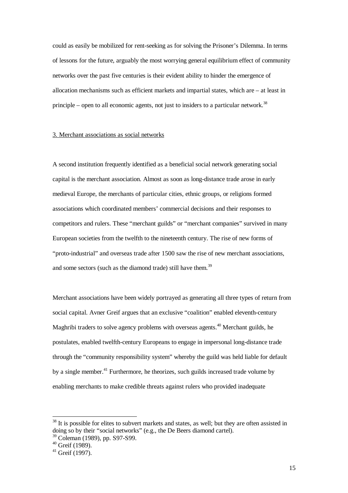could as easily be mobilized for rent-seeking as for solving the Prisoner's Dilemma. In terms of lessons for the future, arguably the most worrying general equilibrium effect of community networks over the past five centuries is their evident ability to hinder the emergence of allocation mechanisms such as efficient markets and impartial states, which are – at least in principle – open to all economic agents, not just to insiders to a particular network.<sup>38</sup>

#### 3. Merchant associations as social networks

A second institution frequently identified as a beneficial social network generating social capital is the merchant association. Almost as soon as long-distance trade arose in early medieval Europe, the merchants of particular cities, ethnic groups, or religions formed associations which coordinated members' commercial decisions and their responses to competitors and rulers. These "merchant guilds" or "merchant companies" survived in many European societies from the twelfth to the nineteenth century. The rise of new forms of "proto-industrial" and overseas trade after 1500 saw the rise of new merchant associations, and some sectors (such as the diamond trade) still have them.<sup>39</sup>

Merchant associations have been widely portrayed as generating all three types of return from social capital. Avner Greif argues that an exclusive "coalition" enabled eleventh-century Maghribi traders to solve agency problems with overseas agents.<sup>40</sup> Merchant guilds, he postulates, enabled twelfth-century Europeans to engage in impersonal long-distance trade through the "community responsibility system" whereby the guild was held liable for default by a single member.<sup>41</sup> Furthermore, he theorizes, such guilds increased trade volume by enabling merchants to make credible threats against rulers who provided inadequate

 $38$  It is possible for elites to subvert markets and states, as well; but they are often assisted in doing so by their "social networks" (e.g., the De Beers diamond cartel).

<sup>39</sup> Coleman (1989), pp. S97-S99.

<sup>40</sup> Greif (1989).

 $41$  Greif (1997).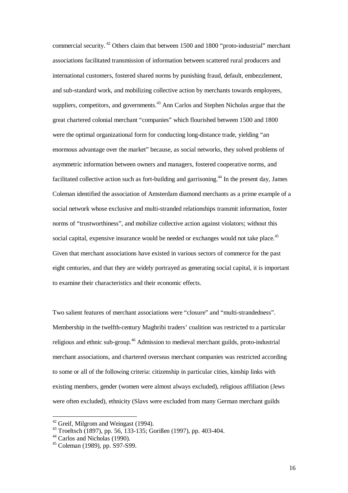commercial security.<sup>42</sup> Others claim that between 1500 and 1800 "proto-industrial" merchant associations facilitated transmission of information between scattered rural producers and international customers, fostered shared norms by punishing fraud, default, embezzlement, and sub-standard work, and mobilizing collective action by merchants towards employees, suppliers, competitors, and governments.<sup>43</sup> Ann Carlos and Stephen Nicholas argue that the great chartered colonial merchant "companies" which flourished between 1500 and 1800 were the optimal organizational form for conducting long-distance trade, yielding "an enormous advantage over the market" because, as social networks, they solved problems of asymmetric information between owners and managers, fostered cooperative norms, and facilitated collective action such as fort-building and garrisoning.<sup>44</sup> In the present day, James Coleman identified the association of Amsterdam diamond merchants as a prime example of a social network whose exclusive and multi-stranded relationships transmit information, foster norms of "trustworthiness", and mobilize collective action against violators; without this social capital, expensive insurance would be needed or exchanges would not take place.<sup>45</sup> Given that merchant associations have existed in various sectors of commerce for the past eight centuries, and that they are widely portrayed as generating social capital, it is important to examine their characteristics and their economic effects.

Two salient features of merchant associations were "closure" and "multi-strandedness". Membership in the twelfth-century Maghribi traders' coalition was restricted to a particular religious and ethnic sub-group.<sup>46</sup> Admission to medieval merchant guilds, proto-industrial merchant associations, and chartered overseas merchant companies was restricted according to some or all of the following criteria: citizenship in particular cities, kinship links with existing members, gender (women were almost always excluded), religious affiliation (Jews were often excluded), ethnicity (Slavs were excluded from many German merchant guilds

 $42$  Greif, Milgrom and Weingast (1994).

<sup>43</sup> Troeltsch (1897), pp. 56, 133-135; Gorißen (1997), pp. 403-404.

<sup>&</sup>lt;sup>44</sup> Carlos and Nicholas (1990).

<sup>45</sup> Coleman (1989), pp. S97-S99.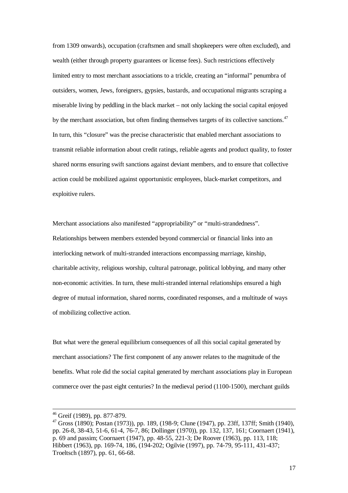from 1309 onwards), occupation (craftsmen and small shopkeepers were often excluded), and wealth (either through property guarantees or license fees). Such restrictions effectively limited entry to most merchant associations to a trickle, creating an "informal" penumbra of outsiders, women, Jews, foreigners, gypsies, bastards, and occupational migrants scraping a miserable living by peddling in the black market – not only lacking the social capital enjoyed by the merchant association, but often finding themselves targets of its collective sanctions.<sup>47</sup> In turn, this "closure" was the precise characteristic that enabled merchant associations to transmit reliable information about credit ratings, reliable agents and product quality, to foster shared norms ensuring swift sanctions against deviant members, and to ensure that collective action could be mobilized against opportunistic employees, black-market competitors, and exploitive rulers.

Merchant associations also manifested "appropriability" or "multi-strandedness". Relationships between members extended beyond commercial or financial links into an interlocking network of multi-stranded interactions encompassing marriage, kinship, charitable activity, religious worship, cultural patronage, political lobbying, and many other non-economic activities. In turn, these multi-stranded internal relationships ensured a high degree of mutual information, shared norms, coordinated responses, and a multitude of ways of mobilizing collective action.

But what were the general equilibrium consequences of all this social capital generated by merchant associations? The first component of any answer relates to the magnitude of the benefits. What role did the social capital generated by merchant associations play in European commerce over the past eight centuries? In the medieval period (1100-1500), merchant guilds

<sup>46</sup> Greif (1989), pp. 877-879.

 $47$  Gross (1890); Postan (1973)), pp. 189, (198-9; Clune (1947), pp. 23ff, 137ff; Smith (1940), pp. 26-8, 38-43, 51-6, 61-4, 76-7, 86; Dollinger (1970)), pp. 132, 137, 161; Coornaert (1941), p. 69 and passim; Coornaert (1947), pp. 48-55, 221-3; De Roover (1963), pp. 113, 118; Hibbert (1963), pp. 169-74, 186, (194-202; Ogilvie (1997), pp. 74-79, 95-111, 431-437; Troeltsch (1897), pp. 61, 66-68.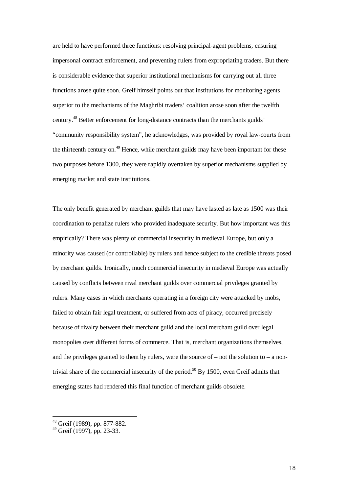are held to have performed three functions: resolving principal-agent problems, ensuring impersonal contract enforcement, and preventing rulers from expropriating traders. But there is considerable evidence that superior institutional mechanisms for carrying out all three functions arose quite soon. Greif himself points out that institutions for monitoring agents superior to the mechanisms of the Maghribi traders' coalition arose soon after the twelfth century.<sup>48</sup> Better enforcement for long-distance contracts than the merchants guilds' "community responsibility system", he acknowledges, was provided by royal law-courts from the thirteenth century on.<sup>49</sup> Hence, while merchant guilds may have been important for these two purposes before 1300, they were rapidly overtaken by superior mechanisms supplied by emerging market and state institutions.

The only benefit generated by merchant guilds that may have lasted as late as 1500 was their coordination to penalize rulers who provided inadequate security. But how important was this empirically? There was plenty of commercial insecurity in medieval Europe, but only a minority was caused (or controllable) by rulers and hence subject to the credible threats posed by merchant guilds. Ironically, much commercial insecurity in medieval Europe was actually caused by conflicts between rival merchant guilds over commercial privileges granted by rulers. Many cases in which merchants operating in a foreign city were attacked by mobs, failed to obtain fair legal treatment, or suffered from acts of piracy, occurred precisely because of rivalry between their merchant guild and the local merchant guild over legal monopolies over different forms of commerce. That is, merchant organizations themselves, and the privileges granted to them by rulers, were the source of  $-$  not the solution to  $-$  a nontrivial share of the commercial insecurity of the period.<sup>50</sup> By 1500, even Greif admits that emerging states had rendered this final function of merchant guilds obsolete.

<sup>&</sup>lt;sup>48</sup> Greif (1989), pp. 877-882.

<sup>49</sup> Greif (1997), pp. 23-33.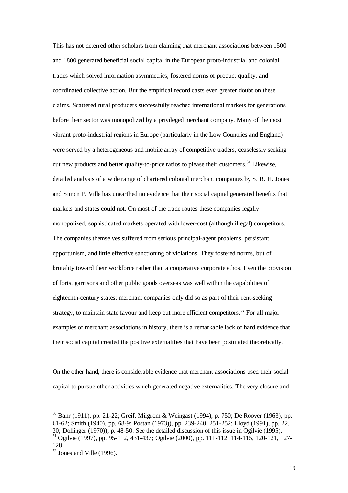This has not deterred other scholars from claiming that merchant associations between 1500 and 1800 generated beneficial social capital in the European proto-industrial and colonial trades which solved information asymmetries, fostered norms of product quality, and coordinated collective action. But the empirical record casts even greater doubt on these claims. Scattered rural producers successfully reached international markets for generations before their sector was monopolized by a privileged merchant company. Many of the most vibrant proto-industrial regions in Europe (particularly in the Low Countries and England) were served by a heterogeneous and mobile array of competitive traders, ceaselessly seeking out new products and better quality-to-price ratios to please their customers.<sup>51</sup> Likewise, detailed analysis of a wide range of chartered colonial merchant companies by S. R. H. Jones and Simon P. Ville has unearthed no evidence that their social capital generated benefits that markets and states could not. On most of the trade routes these companies legally monopolized, sophisticated markets operated with lower-cost (although illegal) competitors. The companies themselves suffered from serious principal-agent problems, persistant opportunism, and little effective sanctioning of violations. They fostered norms, but of brutality toward their workforce rather than a cooperative corporate ethos. Even the provision of forts, garrisons and other public goods overseas was well within the capabilities of eighteenth-century states; merchant companies only did so as part of their rent-seeking strategy, to maintain state favour and keep out more efficient competitors.<sup>52</sup> For all major examples of merchant associations in history, there is a remarkable lack of hard evidence that their social capital created the positive externalities that have been postulated theoretically.

On the other hand, there is considerable evidence that merchant associations used their social capital to pursue other activities which generated negative externalities. The very closure and

 $\overline{a}$ 

19

<sup>50</sup> Bahr (1911), pp. 21-22; Greif, Milgrom & Weingast (1994), p. 750; De Roover (1963), pp. 61-62; Smith (1940), pp. 68-9; Postan (1973)), pp. 239-240, 251-252; Lloyd (1991), pp. 22, 30; Dollinger (1970)), p. 48-50. See the detailed discussion of this issue in Ogilvie (1995). <sup>51</sup> Ogilvie (1997), pp. 95-112, 431-437; Ogilvie (2000), pp. 111-112, 114-115, 120-121, 127- 128.

 $52$  Jones and Ville (1996).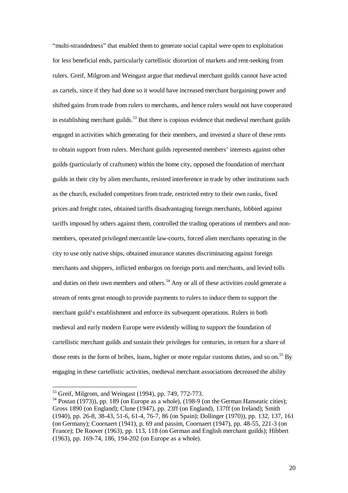"multi-strandedness" that enabled them to generate social capital were open to exploitation for less beneficial ends, particularly cartellistic distortion of markets and rent-seeking from rulers. Greif, Milgrom and Weingast argue that medieval merchant guilds cannot have acted as cartels, since if they had done so it would have increased merchant bargaining power and shifted gains from trade from rulers to merchants, and hence rulers would not have cooperated in establishing merchant guilds.<sup>53</sup> But there is copious evidence that medieval merchant guilds engaged in activities which generating for their members, and invested a share of these rents to obtain support from rulers. Merchant guilds represented members' interests against other guilds (particularly of craftsmen) within the home city, opposed the foundation of merchant guilds in their city by alien merchants, resisted interference in trade by other institutions such as the church, excluded competitors from trade, restricted entry to their own ranks, fixed prices and freight rates, obtained tariffs disadvantaging foreign merchants, lobbied against tariffs imposed by others against them, controlled the trading operations of members and nonmembers, operated privileged mercantile law-courts, forced alien merchants operating in the city to use only native ships, obtained insurance statutes discriminating against foreign merchants and shippers, inflicted embargos on foreign ports and merchants, and levied tolls and duties on their own members and others.<sup>54</sup> Any or all of these activities could generate a stream of rents great enough to provide payments to rulers to induce them to support the merchant guild's establishment and enforce its subsequent operations. Rulers in both medieval and early modern Europe were evidently willing to support the foundation of cartellistic merchant guilds and sustain their privileges for centuries, in return for a share of those rents in the form of bribes, loans, higher or more regular customs duties, and so on.<sup>55</sup> By engaging in these cartellistic activities, medieval merchant associations decreased the ability

<sup>&</sup>lt;sup>53</sup> Greif, Milgrom, and Weingast (1994), pp. 749, 772-773.

<sup>&</sup>lt;sup>54</sup> Postan (1973)), pp. 189 (on Europe as a whole), (198-9 (on the German Hanseatic cities); Gross 1890 (on England); Clune (1947), pp. 23ff (on England), 137ff (on Ireland); Smith (1940), pp. 26-8, 38-43, 51-6, 61-4, 76-7, 86 (on Spain); Dollinger (1970)), pp. 132, 137, 161 (on Germany); Coornaert (1941), p. 69 and passim, Coornaert (1947), pp. 48-55, 221-3 (on France); De Roover (1963), pp. 113, 118 (on German and English merchant guilds); Hibbert (1963), pp. 169-74, 186, 194-202 (on Europe as a whole).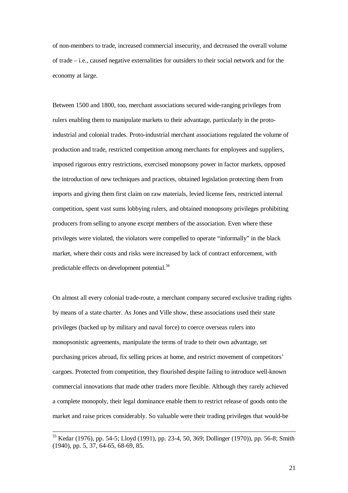of non-members to trade, increased commercial insecurity, and decreased the overall volume of trade – i.e., caused negative externalities for outsiders to their social network and for the economy at large.

Between 1500 and 1800, too, merchant associations secured wide-ranging privileges from rulers enabling them to manipulate markets to their advantage, particularly in the protoindustrial and colonial trades. Proto-industrial merchant associations regulated the volume of production and trade, restricted competition among merchants for employees and suppliers, imposed rigorous entry restrictions, exercised monopsony power in factor markets, opposed the introduction of new techniques and practices, obtained legislation protecting them from imports and giving them first claim on raw materials, levied license fees, restricted internal competition, spent vast sums lobbying rulers, and obtained monopsony privileges prohibiting producers from selling to anyone except members of the association. Even where these privileges were violated, the violators were compelled to operate "informally" in the black market, where their costs and risks were increased by lack of contract enforcement, with predictable effects on development potential.<sup>56</sup>

On almost all every colonial trade-route, a merchant company secured exclusive trading rights by means of a state charter. As Jones and Ville show, these associations used their state privileges (backed up by military and naval force) to coerce overseas rulers into monopsonistic agreements, manipulate the terms of trade to their own advantage, set purchasing prices abroad, fix selling prices at home, and restrict movement of competitors' cargoes. Protected from competition, they flourished despite failing to introduce well-known commercial innovations that made other traders more flexible. Although they rarely achieved a complete monopoly, their legal dominance enable them to restrict release of goods onto the market and raise prices considerably. So valuable were their trading privileges that would-be

<sup>55</sup> Kedar (1976), pp. 54-5; Lloyd (1991), pp. 23-4, 50, 369; Dollinger (1970)), pp. 56-8; Smith (1940), pp. 5, 37, 64-65, 68-69, 85.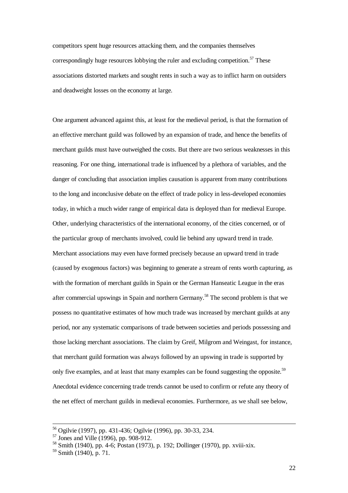competitors spent huge resources attacking them, and the companies themselves correspondingly huge resources lobbying the ruler and excluding competition.<sup>57</sup> These associations distorted markets and sought rents in such a way as to inflict harm on outsiders and deadweight losses on the economy at large.

One argument advanced against this, at least for the medieval period, is that the formation of an effective merchant guild was followed by an expansion of trade, and hence the benefits of merchant guilds must have outweighed the costs. But there are two serious weaknesses in this reasoning. For one thing, international trade is influenced by a plethora of variables, and the danger of concluding that association implies causation is apparent from many contributions to the long and inconclusive debate on the effect of trade policy in less-developed economies today, in which a much wider range of empirical data is deployed than for medieval Europe. Other, underlying characteristics of the international economy, of the cities concerned, or of the particular group of merchants involved, could lie behind any upward trend in trade. Merchant associations may even have formed precisely because an upward trend in trade (caused by exogenous factors) was beginning to generate a stream of rents worth capturing, as with the formation of merchant guilds in Spain or the German Hanseatic League in the eras after commercial upswings in Spain and northern Germany.<sup>58</sup> The second problem is that we possess no quantitative estimates of how much trade was increased by merchant guilds at any period, nor any systematic comparisons of trade between societies and periods possessing and those lacking merchant associations. The claim by Greif, Milgrom and Weingast, for instance, that merchant guild formation was always followed by an upswing in trade is supported by only five examples, and at least that many examples can be found suggesting the opposite.<sup>59</sup> Anecdotal evidence concerning trade trends cannot be used to confirm or refute any theory of the net effect of merchant guilds in medieval economies. Furthermore, as we shall see below,

<sup>56</sup> Ogilvie (1997), pp. 431-436; Ogilvie (1996), pp. 30-33, 234.

<sup>57</sup> Jones and Ville (1996), pp. 908-912.

<sup>58</sup> Smith (1940), pp. 4-6; Postan (1973), p. 192; Dollinger (1970), pp. xviii-xix.

<sup>59</sup> Smith (1940), p. 71.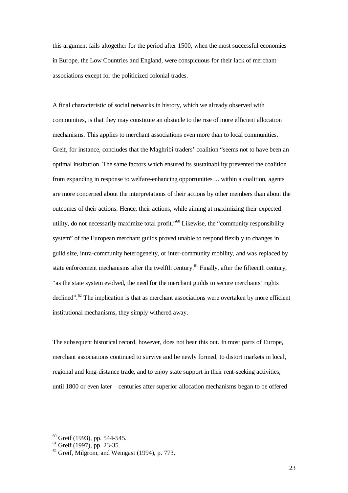this argument fails altogether for the period after 1500, when the most successful economies in Europe, the Low Countries and England, were conspicuous for their lack of merchant associations except for the politicized colonial trades.

A final characteristic of social networks in history, which we already observed with communities, is that they may constitute an obstacle to the rise of more efficient allocation mechanisms. This applies to merchant associations even more than to local communities. Greif, for instance, concludes that the Maghribi traders' coalition "seems not to have been an optimal institution. The same factors which ensured its sustainability prevented the coalition from expanding in response to welfare-enhancing opportunities ... within a coalition, agents are more concerned about the interpretations of their actions by other members than about the outcomes of their actions. Hence, their actions, while aiming at maximizing their expected utility, do not necessarily maximize total profit."<sup>60</sup> Likewise, the "community responsibility system" of the European merchant guilds proved unable to respond flexibly to changes in guild size, intra-community heterogeneity, or inter-community mobility, and was replaced by state enforcement mechanisms after the twelfth century.<sup>61</sup> Finally, after the fifteenth century, "as the state system evolved, the need for the merchant guilds to secure merchants' rights declined". $62$  The implication is that as merchant associations were overtaken by more efficient institutional mechanisms, they simply withered away.

The subsequent historical record, however, does not bear this out. In most parts of Europe, merchant associations continued to survive and be newly formed, to distort markets in local, regional and long-distance trade, and to enjoy state support in their rent-seeking activities, until 1800 or even later – centuries after superior allocation mechanisms began to be offered

 $60$  Greif (1993), pp. 544-545.

 $61$  Greif (1997), pp. 23-35.

 $62$  Greif, Milgrom, and Weingast (1994), p. 773.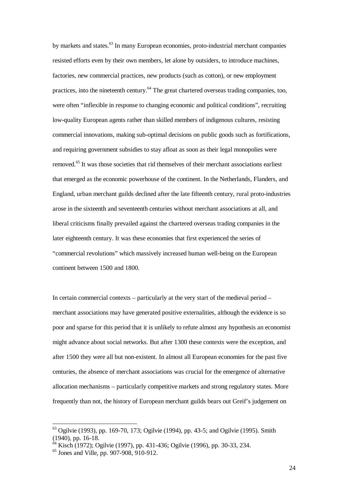by markets and states.<sup>63</sup> In many European economies, proto-industrial merchant companies resisted efforts even by their own members, let alone by outsiders, to introduce machines, factories, new commercial practices, new products (such as cotton), or new employment practices, into the nineteenth century.<sup>64</sup> The great chartered overseas trading companies, too, were often "inflexible in response to changing economic and political conditions", recruiting low-quality European agents rather than skilled members of indigenous cultures, resisting commercial innovations, making sub-optimal decisions on public goods such as fortifications, and requiring government subsidies to stay afloat as soon as their legal monopolies were removed.<sup>65</sup> It was those societies that rid themselves of their merchant associations earliest that emerged as the economic powerhouse of the continent. In the Netherlands, Flanders, and England, urban merchant guilds declined after the late fifteenth century, rural proto-industries arose in the sixteenth and seventeenth centuries without merchant associations at all, and liberal criticisms finally prevailed against the chartered overseas trading companies in the later eighteenth century. It was these economies that first experienced the series of "commercial revolutions" which massively increased human well-being on the European continent between 1500 and 1800.

In certain commercial contexts – particularly at the very start of the medieval period – merchant associations may have generated positive externalities, although the evidence is so poor and sparse for this period that it is unlikely to refute almost any hypothesis an economist might advance about social networks. But after 1300 these contexts were the exception, and after 1500 they were all but non-existent. In almost all European economies for the past five centuries, the absence of merchant associations was crucial for the emergence of alternative allocation mechanisms – particularly competitive markets and strong regulatory states. More frequently than not, the history of European merchant guilds bears out Greif's judgement on

<sup>63</sup> Ogilvie (1993), pp. 169-70, 173; Ogilvie (1994), pp. 43-5; and Ogilvie (1995). Smith (1940), pp. 16-18.

<sup>64</sup> Kisch (1972); Ogilvie (1997), pp. 431-436; Ogilvie (1996), pp. 30-33, 234.

 $65$  Jones and Ville, pp. 907-908, 910-912.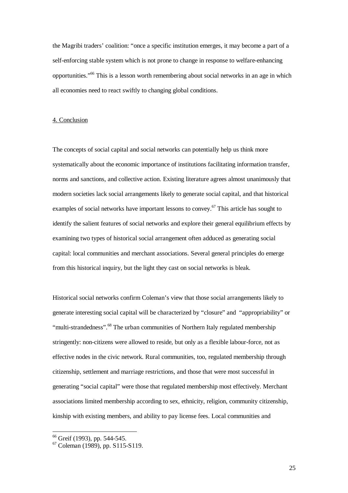the Magribi traders' coalition: "once a specific institution emerges, it may become a part of a self-enforcing stable system which is not prone to change in response to welfare-enhancing opportunities."<sup>66</sup> This is a lesson worth remembering about social networks in an age in which all economies need to react swiftly to changing global conditions.

# 4. Conclusion

The concepts of social capital and social networks can potentially help us think more systematically about the economic importance of institutions facilitating information transfer, norms and sanctions, and collective action. Existing literature agrees almost unanimously that modern societies lack social arrangements likely to generate social capital, and that historical examples of social networks have important lessons to convey.<sup>67</sup> This article has sought to identify the salient features of social networks and explore their general equilibrium effects by examining two types of historical social arrangement often adduced as generating social capital: local communities and merchant associations. Several general principles do emerge from this historical inquiry, but the light they cast on social networks is bleak.

Historical social networks confirm Coleman's view that those social arrangements likely to generate interesting social capital will be characterized by "closure" and "appropriability" or "multi-strandedness".<sup>68</sup> The urban communities of Northern Italy regulated membership stringently: non-citizens were allowed to reside, but only as a flexible labour-force, not as effective nodes in the civic network. Rural communities, too, regulated membership through citizenship, settlement and marriage restrictions, and those that were most successful in generating "social capital" were those that regulated membership most effectively. Merchant associations limited membership according to sex, ethnicity, religion, community citizenship, kinship with existing members, and ability to pay license fees. Local communities and

<sup>&</sup>lt;sup>66</sup> Greif (1993), pp. 544-545.

 $67$  Coleman (1989), pp. S115-S119.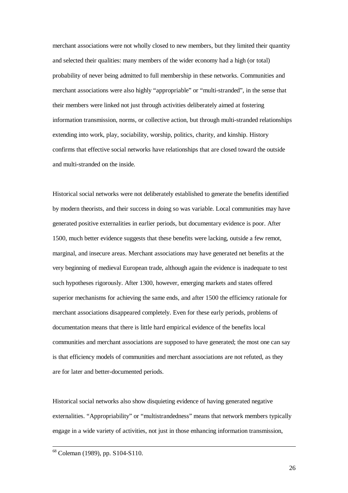merchant associations were not wholly closed to new members, but they limited their quantity and selected their qualities: many members of the wider economy had a high (or total) probability of never being admitted to full membership in these networks. Communities and merchant associations were also highly "appropriable" or "multi-stranded", in the sense that their members were linked not just through activities deliberately aimed at fostering information transmission, norms, or collective action, but through multi-stranded relationships extending into work, play, sociability, worship, politics, charity, and kinship. History confirms that effective social networks have relationships that are closed toward the outside and multi-stranded on the inside.

Historical social networks were not deliberately established to generate the benefits identified by modern theorists, and their success in doing so was variable. Local communities may have generated positive externalities in earlier periods, but documentary evidence is poor. After 1500, much better evidence suggests that these benefits were lacking, outside a few remot, marginal, and insecure areas. Merchant associations may have generated net benefits at the very beginning of medieval European trade, although again the evidence is inadequate to test such hypotheses rigorously. After 1300, however, emerging markets and states offered superior mechanisms for achieving the same ends, and after 1500 the efficiency rationale for merchant associations disappeared completely. Even for these early periods, problems of documentation means that there is little hard empirical evidence of the benefits local communities and merchant associations are supposed to have generated; the most one can say is that efficiency models of communities and merchant associations are not refuted, as they are for later and better-documented periods.

Historical social networks also show disquieting evidence of having generated negative externalities. "Appropriability" or "multistrandedness" means that network members typically engage in a wide variety of activities, not just in those enhancing information transmission,

 $\overline{a}$ 

26

<sup>&</sup>lt;sup>68</sup> Coleman (1989), pp. S104-S110.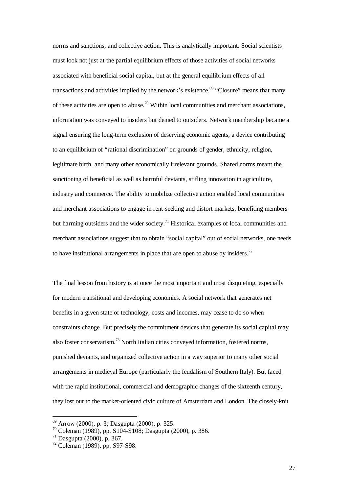norms and sanctions, and collective action. This is analytically important. Social scientists must look not just at the partial equilibrium effects of those activities of social networks associated with beneficial social capital, but at the general equilibrium effects of all transactions and activities implied by the network's existence.<sup>69</sup> "Closure" means that many of these activities are open to abuse.<sup>70</sup> Within local communities and merchant associations, information was conveyed to insiders but denied to outsiders. Network membership became a signal ensuring the long-term exclusion of deserving economic agents, a device contributing to an equilibrium of "rational discrimination" on grounds of gender, ethnicity, religion, legitimate birth, and many other economically irrelevant grounds. Shared norms meant the sanctioning of beneficial as well as harmful deviants, stifling innovation in agriculture, industry and commerce. The ability to mobilize collective action enabled local communities and merchant associations to engage in rent-seeking and distort markets, benefiting members but harming outsiders and the wider society.<sup>71</sup> Historical examples of local communities and merchant associations suggest that to obtain "social capital" out of social networks, one needs to have institutional arrangements in place that are open to abuse by insiders.<sup>72</sup>

The final lesson from history is at once the most important and most disquieting, especially for modern transitional and developing economies. A social network that generates net benefits in a given state of technology, costs and incomes, may cease to do so when constraints change. But precisely the commitment devices that generate its social capital may also foster conservatism.<sup>73</sup> North Italian cities conveyed information, fostered norms, punished deviants, and organized collective action in a way superior to many other social arrangements in medieval Europe (particularly the feudalism of Southern Italy). But faced with the rapid institutional, commercial and demographic changes of the sixteenth century, they lost out to the market-oriented civic culture of Amsterdam and London. The closely-knit

<sup>69</sup> Arrow (2000), p. 3; Dasgupta (2000), p. 325.

<sup>70</sup> Coleman (1989), pp. S104-S108; Dasgupta (2000), p. 386.

<sup>71</sup> Dasgupta (2000), p. 367.

<sup>72</sup> Coleman (1989), pp. S97-S98.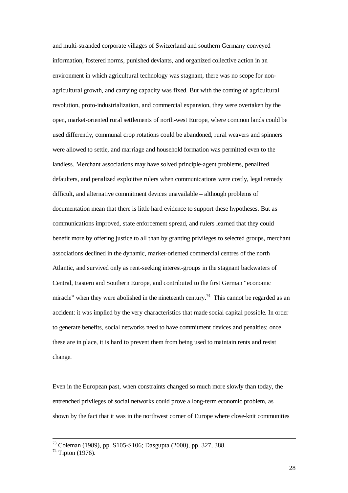and multi-stranded corporate villages of Switzerland and southern Germany conveyed information, fostered norms, punished deviants, and organized collective action in an environment in which agricultural technology was stagnant, there was no scope for nonagricultural growth, and carrying capacity was fixed. But with the coming of agricultural revolution, proto-industrialization, and commercial expansion, they were overtaken by the open, market-oriented rural settlements of north-west Europe, where common lands could be used differently, communal crop rotations could be abandoned, rural weavers and spinners were allowed to settle, and marriage and household formation was permitted even to the landless. Merchant associations may have solved principle-agent problems, penalized defaulters, and penalized exploitive rulers when communications were costly, legal remedy difficult, and alternative commitment devices unavailable – although problems of documentation mean that there is little hard evidence to support these hypotheses. But as communications improved, state enforcement spread, and rulers learned that they could benefit more by offering justice to all than by granting privileges to selected groups, merchant associations declined in the dynamic, market-oriented commercial centres of the north Atlantic, and survived only as rent-seeking interest-groups in the stagnant backwaters of Central, Eastern and Southern Europe, and contributed to the first German "economic miracle" when they were abolished in the nineteenth century.<sup>74</sup> This cannot be regarded as an accident: it was implied by the very characteristics that made social capital possible. In order to generate benefits, social networks need to have commitment devices and penalties; once these are in place, it is hard to prevent them from being used to maintain rents and resist change.

Even in the European past, when constraints changed so much more slowly than today, the entrenched privileges of social networks could prove a long-term economic problem, as shown by the fact that it was in the northwest corner of Europe where close-knit communities

<sup>73</sup> Coleman (1989), pp. S105-S106; Dasgupta (2000), pp. 327, 388.

 $74$  Tipton (1976).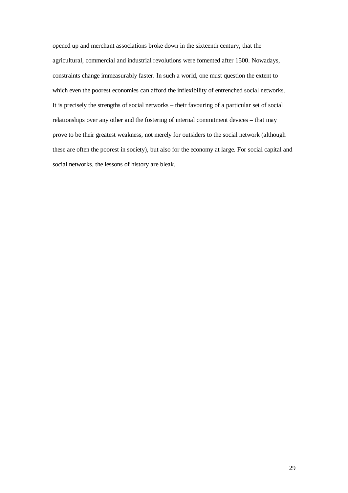opened up and merchant associations broke down in the sixteenth century, that the agricultural, commercial and industrial revolutions were fomented after 1500. Nowadays, constraints change immeasurably faster. In such a world, one must question the extent to which even the poorest economies can afford the inflexibility of entrenched social networks. It is precisely the strengths of social networks – their favouring of a particular set of social relationships over any other and the fostering of internal commitment devices – that may prove to be their greatest weakness, not merely for outsiders to the social network (although these are often the poorest in society), but also for the economy at large. For social capital and social networks, the lessons of history are bleak.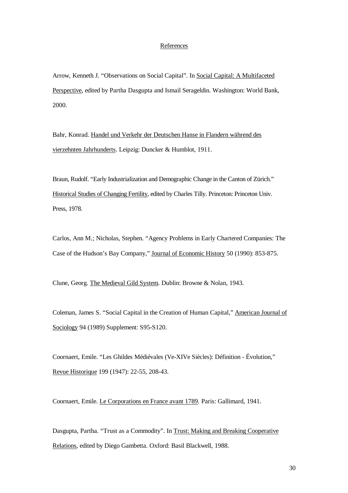# References

Arrow, Kenneth J. "Observations on Social Capital". In Social Capital: A Multifaceted Perspective, edited by Partha Dasgupta and Ismail Serageldin. Washington: World Bank, 2000.

Bahr, Konrad. Handel und Verkehr der Deutschen Hanse in Flandern während des vierzehnten Jahrhunderts. Leipzig: Duncker & Humblot, 1911.

Braun, Rudolf. "Early Industrialization and Demographic Change in the Canton of Zürich." Historical Studies of Changing Fertility, edited by Charles Tilly. Princeton: Princeton Univ. Press, 1978.

Carlos, Ann M.; Nicholas, Stephen. "Agency Problems in Early Chartered Companies: The Case of the Hudson's Bay Company," Journal of Economic History 50 (1990): 853-875.

Clune, Georg. The Medieval Gild System. Dublin: Browne & Nolan, 1943.

Coleman, James S. "Social Capital in the Creation of Human Capital," American Journal of Sociology 94 (1989) Supplement: S95-S120.

Coornaert, Emile. "Les Ghildes Médiévales (Ve-XIVe Siècles): Définition - Évolution," Revue Historique 199 (1947): 22-55, 208-43.

Coornaert, Emile. Le Corporations en France avant 1789. Paris: Gallimard, 1941.

Dasgupta, Partha. "Trust as a Commodity". In Trust: Making and Breaking Cooperative Relations, edited by Diego Gambetta. Oxford: Basil Blackwell, 1988.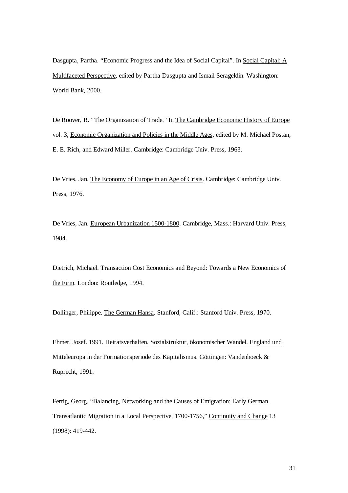Dasgupta, Partha. "Economic Progress and the Idea of Social Capital". In Social Capital: A Multifaceted Perspective, edited by Partha Dasgupta and Ismail Serageldin. Washington: World Bank, 2000.

De Roover, R. "The Organization of Trade." In The Cambridge Economic History of Europe vol. 3, Economic Organization and Policies in the Middle Ages, edited by M. Michael Postan, E. E. Rich, and Edward Miller. Cambridge: Cambridge Univ. Press, 1963.

De Vries, Jan. The Economy of Europe in an Age of Crisis. Cambridge: Cambridge Univ. Press, 1976.

De Vries, Jan. European Urbanization 1500-1800. Cambridge, Mass.: Harvard Univ. Press, 1984.

Dietrich, Michael. Transaction Cost Economics and Beyond: Towards a New Economics of the Firm. London: Routledge, 1994.

Dollinger, Philippe. The German Hansa. Stanford, Calif.: Stanford Univ. Press, 1970.

Ehmer, Josef. 1991. Heiratsverhalten, Sozialstruktur, ökonomischer Wandel. England und Mitteleuropa in der Formationsperiode des Kapitalismus. Göttingen: Vandenhoeck & Ruprecht, 1991.

Fertig, Georg. "Balancing, Networking and the Causes of Emigration: Early German Transatlantic Migration in a Local Perspective, 1700-1756," Continuity and Change 13 (1998): 419-442.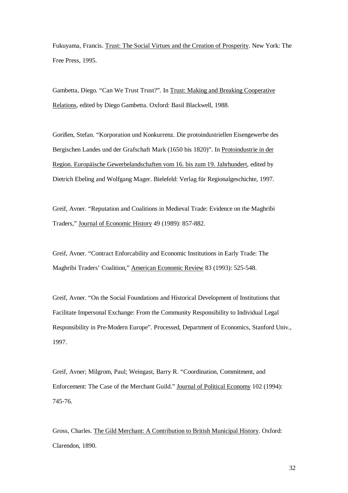Fukuyama, Francis. Trust: The Social Virtues and the Creation of Prosperity. New York: The Free Press, 1995.

Gambetta, Diego. "Can We Trust Trust?". In Trust: Making and Breaking Cooperative Relations, edited by Diego Gambetta. Oxford: Basil Blackwell, 1988.

Gorißen, Stefan. "Korporation und Konkurrenz. Die protoindustriellen Eisengewerbe des Bergischen Landes und der Grafschaft Mark (1650 bis 1820)". In Protoindustrie in der Region. Europäische Gewerbelandschaften vom 16. bis zum 19. Jahrhundert, edited by Dietrich Ebeling and Wolfgang Mager. Bielefeld: Verlag für Regionalgeschichte, 1997.

Greif, Avner. "Reputation and Coalitions in Medieval Trade: Evidence on the Maghribi Traders," Journal of Economic History 49 (1989): 857-882.

Greif, Avner. "Contract Enforcability and Economic Institutions in Early Trade: The Maghribi Traders' Coalition," American Economic Review 83 (1993): 525-548.

Greif, Avner. "On the Social Foundations and Historical Development of Institutions that Facilitate Impersonal Exchange: From the Community Responsibility to Individual Legal Responsibility in Pre-Modern Europe". Processed, Department of Economics, Stanford Univ., 1997.

Greif, Avner; Milgrom, Paul; Weingast, Barry R. "Coordination, Commitment, and Enforcement: The Case of the Merchant Guild." Journal of Political Economy 102 (1994): 745-76.

Gross, Charles. The Gild Merchant: A Contribution to British Municipal History. Oxford: Clarendon, 1890.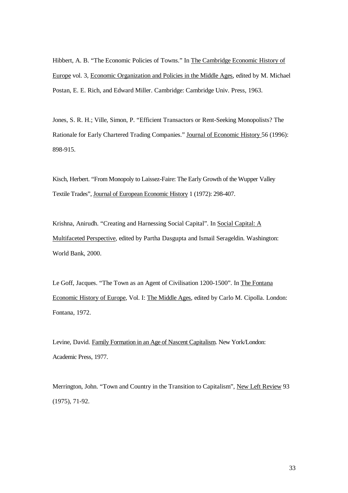Hibbert, A. B. "The Economic Policies of Towns." In The Cambridge Economic History of Europe vol. 3, Economic Organization and Policies in the Middle Ages, edited by M. Michael Postan, E. E. Rich, and Edward Miller. Cambridge: Cambridge Univ. Press, 1963.

Jones, S. R. H.; Ville, Simon, P. "Efficient Transactors or Rent-Seeking Monopolists? The Rationale for Early Chartered Trading Companies." Journal of Economic History 56 (1996): 898-915.

Kisch, Herbert. "From Monopoly to Laissez-Faire: The Early Growth of the Wupper Valley Textile Trades", Journal of European Economic History 1 (1972): 298-407.

Krishna, Anirudh. "Creating and Harnessing Social Capital". In Social Capital: A Multifaceted Perspective, edited by Partha Dasgupta and Ismail Serageldin. Washington: World Bank, 2000.

Le Goff, Jacques. "The Town as an Agent of Civilisation 1200-1500". In The Fontana Economic History of Europe, Vol. I: The Middle Ages, edited by Carlo M. Cipolla. London: Fontana, 1972.

Levine, David. Family Formation in an Age of Nascent Capitalism. New York/London: Academic Press, 1977.

Merrington, John. "Town and Country in the Transition to Capitalism", New Left Review 93 (1975), 71-92.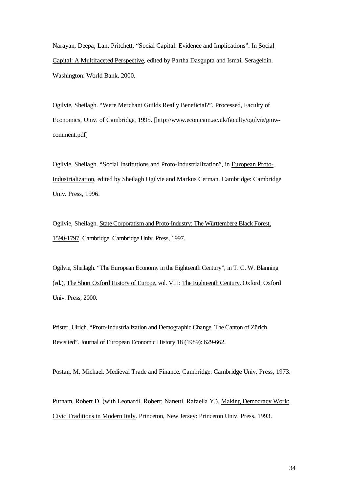Narayan, Deepa; Lant Pritchett, "Social Capital: Evidence and Implications". In Social Capital: A Multifaceted Perspective, edited by Partha Dasgupta and Ismail Serageldin. Washington: World Bank, 2000.

Ogilvie, Sheilagh. "Were Merchant Guilds Really Beneficial?". Processed, Faculty of Economics, Univ. of Cambridge, 1995. [http://www.econ.cam.ac.uk/faculty/ogilvie/gmwcomment.pdf]

Ogilvie, Sheilagh. "Social Institutions and Proto-Industrialization", in European Proto-Industrialization, edited by Sheilagh Ogilvie and Markus Cerman. Cambridge: Cambridge Univ. Press, 1996.

Ogilvie, Sheilagh. State Corporatism and Proto-Industry: The Württemberg Black Forest, 1590-1797. Cambridge: Cambridge Univ. Press, 1997.

Ogilvie, Sheilagh. "The European Economy in the Eighteenth Century", in T. C. W. Blanning (ed.), The Short Oxford History of Europe, vol. VIII: The Eighteenth Century. Oxford: Oxford Univ. Press, 2000.

Pfister, Ulrich. "Proto-Industrialization and Demographic Change. The Canton of Zürich Revisited". Journal of European Economic History 18 (1989): 629-662.

Postan, M. Michael. Medieval Trade and Finance. Cambridge: Cambridge Univ. Press, 1973.

Putnam, Robert D. (with Leonardi, Robert; Nanetti, Rafaella Y.). Making Democracy Work: Civic Traditions in Modern Italy. Princeton, New Jersey: Princeton Univ. Press, 1993.